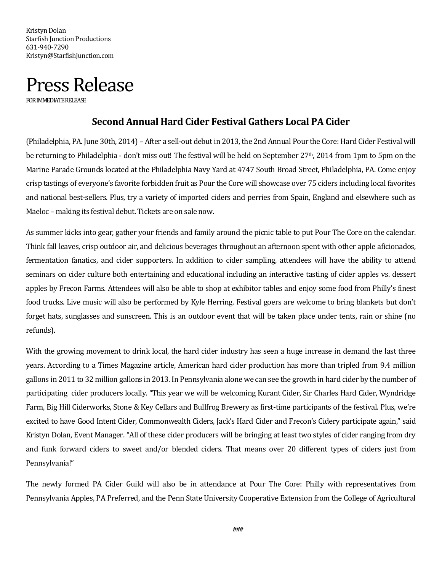Kristyn Dolan Starfish Junction Productions 631-940-7290 Kristyn@StarfishJunction.com



## **Second Annual Hard Cider Festival Gathers Local PA Cider**

(Philadelphia, PA. June 30th, 2014) – After a sell-out debut in 2013, the 2nd Annual Pour the Core: Hard Cider Festival will be returning to Philadelphia - don't miss out! The festival will be held on September 27th, 2014 from 1pm to 5pm on the Marine Parade Grounds located at the Philadelphia Navy Yard at 4747 South Broad Street, Philadelphia, PA. Come enjoy crisp tastings of everyone's favorite forbidden fruit as Pour the Core will showcase over 75 ciders including local favorites and national best-sellers. Plus, try a variety of imported ciders and perries from Spain, England and elsewhere such as Maeloc – making its festival debut. Tickets are on sale now.

As summer kicks into gear, gather your friends and family around the picnic table to put Pour The Core on the calendar. Think fall leaves, crisp outdoor air, and delicious beverages throughout an afternoon spent with other apple aficionados, fermentation fanatics, and cider supporters. In addition to cider sampling, attendees will have the ability to attend seminars on cider culture both entertaining and educational including an interactive tasting of cider apples vs. dessert apples by Frecon Farms. Attendees will also be able to shop at exhibitor tables and enjoy some food from Philly's finest food trucks. Live music will also be performed by Kyle Herring. Festival goers are welcome to bring blankets but don't forget hats, sunglasses and sunscreen. This is an outdoor event that will be taken place under tents, rain or shine (no refunds).

With the growing movement to drink local, the hard cider industry has seen a huge increase in demand the last three years. According to a Times Magazine article, American hard cider production has more than tripled from 9.4 million gallons in 2011 to 32 million gallons in 2013. In Pennsylvania alone we can see the growth in hard cider by the number of participating cider producers locally. "This year we will be welcoming Kurant Cider, Sir Charles Hard Cider, Wyndridge Farm, Big Hill Ciderworks, Stone & Key Cellars and Bullfrog Brewery as first-time participants of the festival. Plus, we're excited to have Good Intent Cider, Commonwealth Ciders, Jack's Hard Cider and Frecon's Cidery participate again," said Kristyn Dolan, Event Manager. "All of these cider producers will be bringing at least two styles of cider ranging from dry and funk forward ciders to sweet and/or blended ciders. That means over 20 different types of ciders just from Pennsylvania!"

The newly formed PA Cider Guild will also be in attendance at Pour The Core: Philly with representatives from Pennsylvania Apples, PA Preferred, and the Penn State University Cooperative Extension from the College of Agricultural